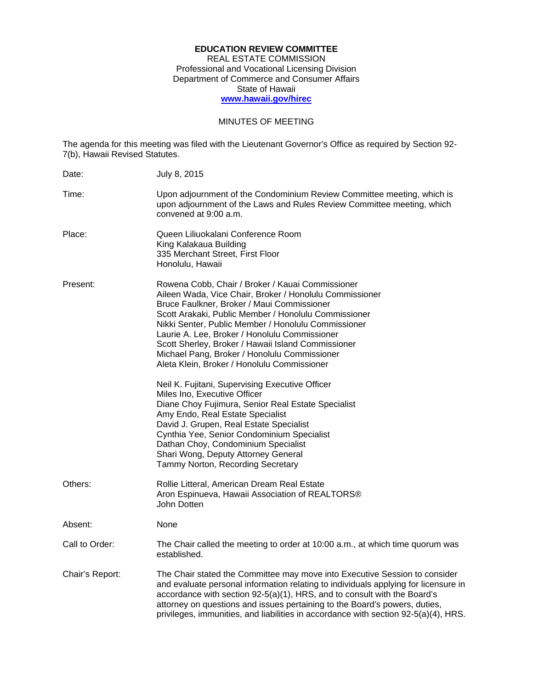## **EDUCATION REVIEW COMMITTEE**  REAL ESTATE COMMISSION Professional and Vocational Licensing Division Department of Commerce and Consumer Affairs State of Hawaii **www.hawaii.gov/hirec**

## MINUTES OF MEETING

The agenda for this meeting was filed with the Lieutenant Governor's Office as required by Section 92 7(b), Hawaii Revised Statutes.

| Date:           | July 8, 2015                                                                                                                                                                                                                                                                                                                                                                                                                                                                   |
|-----------------|--------------------------------------------------------------------------------------------------------------------------------------------------------------------------------------------------------------------------------------------------------------------------------------------------------------------------------------------------------------------------------------------------------------------------------------------------------------------------------|
| Time:           | Upon adjournment of the Condominium Review Committee meeting, which is<br>upon adjournment of the Laws and Rules Review Committee meeting, which<br>convened at 9:00 a.m.                                                                                                                                                                                                                                                                                                      |
| Place:          | Queen Liliuokalani Conference Room<br>King Kalakaua Building<br>335 Merchant Street, First Floor<br>Honolulu, Hawaii                                                                                                                                                                                                                                                                                                                                                           |
| Present:        | Rowena Cobb, Chair / Broker / Kauai Commissioner<br>Aileen Wada, Vice Chair, Broker / Honolulu Commissioner<br>Bruce Faulkner, Broker / Maui Commissioner<br>Scott Arakaki, Public Member / Honolulu Commissioner<br>Nikki Senter, Public Member / Honolulu Commissioner<br>Laurie A. Lee, Broker / Honolulu Commissioner<br>Scott Sherley, Broker / Hawaii Island Commissioner<br>Michael Pang, Broker / Honolulu Commissioner<br>Aleta Klein, Broker / Honolulu Commissioner |
|                 | Neil K. Fujitani, Supervising Executive Officer<br>Miles Ino, Executive Officer<br>Diane Choy Fujimura, Senior Real Estate Specialist<br>Amy Endo, Real Estate Specialist<br>David J. Grupen, Real Estate Specialist<br>Cynthia Yee, Senior Condominium Specialist<br>Dathan Choy, Condominium Specialist<br>Shari Wong, Deputy Attorney General<br>Tammy Norton, Recording Secretary                                                                                          |
| Others:         | Rollie Litteral, American Dream Real Estate<br>Aron Espinueva, Hawaii Association of REALTORS®<br>John Dotten                                                                                                                                                                                                                                                                                                                                                                  |
| Absent:         | None                                                                                                                                                                                                                                                                                                                                                                                                                                                                           |
| Call to Order:  | The Chair called the meeting to order at 10:00 a.m., at which time quorum was<br>established.                                                                                                                                                                                                                                                                                                                                                                                  |
| Chair's Report: | The Chair stated the Committee may move into Executive Session to consider<br>and evaluate personal information relating to individuals applying for licensure in<br>accordance with section 92-5(a)(1), HRS, and to consult with the Board's<br>attorney on questions and issues pertaining to the Board's powers, duties,<br>privileges, immunities, and liabilities in accordance with section 92-5(a)(4), HRS.                                                             |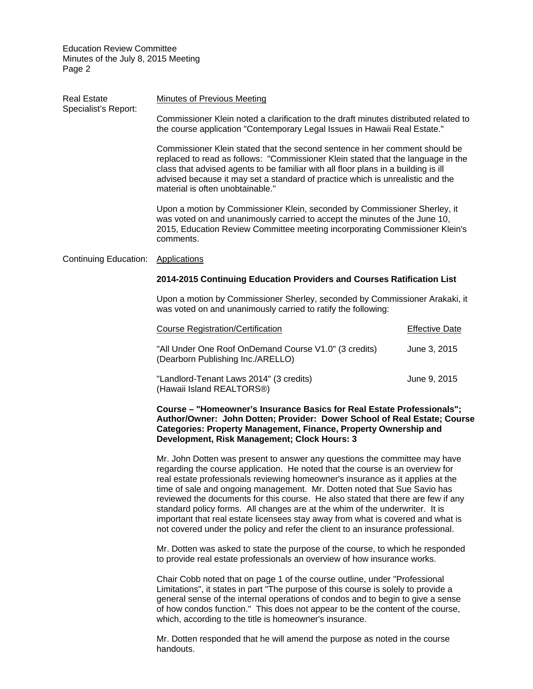| <b>Real Estate</b><br>Specialist's Report: | <b>Minutes of Previous Meeting</b>                                                                                                                                                                                                                                                                                                                                          |                       |  |
|--------------------------------------------|-----------------------------------------------------------------------------------------------------------------------------------------------------------------------------------------------------------------------------------------------------------------------------------------------------------------------------------------------------------------------------|-----------------------|--|
|                                            | Commissioner Klein noted a clarification to the draft minutes distributed related to<br>the course application "Contemporary Legal Issues in Hawaii Real Estate."                                                                                                                                                                                                           |                       |  |
|                                            | Commissioner Klein stated that the second sentence in her comment should be<br>replaced to read as follows: "Commissioner Klein stated that the language in the<br>class that advised agents to be familiar with all floor plans in a building is ill<br>advised because it may set a standard of practice which is unrealistic and the<br>material is often unobtainable." |                       |  |
|                                            | Upon a motion by Commissioner Klein, seconded by Commissioner Sherley, it<br>was voted on and unanimously carried to accept the minutes of the June 10,<br>2015, Education Review Committee meeting incorporating Commissioner Klein's<br>comments.                                                                                                                         |                       |  |
| Continuing Education:                      | <b>Applications</b>                                                                                                                                                                                                                                                                                                                                                         |                       |  |
|                                            | 2014-2015 Continuing Education Providers and Courses Ratification List                                                                                                                                                                                                                                                                                                      |                       |  |
|                                            | Upon a motion by Commissioner Sherley, seconded by Commissioner Arakaki, it<br>was voted on and unanimously carried to ratify the following:                                                                                                                                                                                                                                |                       |  |
|                                            | <b>Course Registration/Certification</b>                                                                                                                                                                                                                                                                                                                                    | <b>Effective Date</b> |  |
|                                            | "All Under One Roof OnDemand Course V1.0" (3 credits)<br>(Dearborn Publishing Inc./ARELLO)                                                                                                                                                                                                                                                                                  | June 3, 2015          |  |

"Landlord-Tenant Laws 2014" (3 credits) June 9, 2015 (Hawaii Island REALTORS®)

**Course – "Homeowner's Insurance Basics for Real Estate Professionals"; Author/Owner: John Dotten; Provider: Dower School of Real Estate; Course Categories: Property Management, Finance, Property Ownership and Development, Risk Management; Clock Hours: 3** 

Mr. John Dotten was present to answer any questions the committee may have regarding the course application. He noted that the course is an overview for real estate professionals reviewing homeowner's insurance as it applies at the time of sale and ongoing management. Mr. Dotten noted that Sue Savio has reviewed the documents for this course. He also stated that there are few if any standard policy forms. All changes are at the whim of the underwriter. It is important that real estate licensees stay away from what is covered and what is not covered under the policy and refer the client to an insurance professional.

Mr. Dotten was asked to state the purpose of the course, to which he responded to provide real estate professionals an overview of how insurance works.

Chair Cobb noted that on page 1 of the course outline, under "Professional Limitations", it states in part "The purpose of this course is solely to provide a general sense of the internal operations of condos and to begin to give a sense of how condos function." This does not appear to be the content of the course, which, according to the title is homeowner's insurance.

Mr. Dotten responded that he will amend the purpose as noted in the course handouts.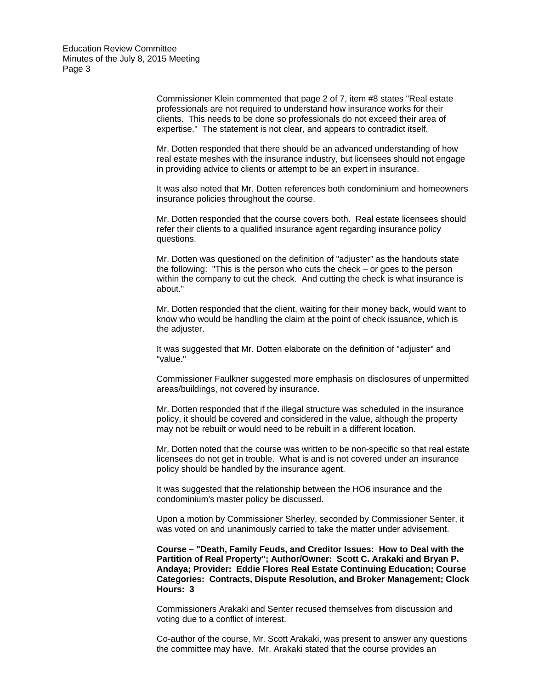> Commissioner Klein commented that page 2 of 7, item #8 states "Real estate professionals are not required to understand how insurance works for their clients. This needs to be done so professionals do not exceed their area of expertise." The statement is not clear, and appears to contradict itself.

Mr. Dotten responded that there should be an advanced understanding of how real estate meshes with the insurance industry, but licensees should not engage in providing advice to clients or attempt to be an expert in insurance.

It was also noted that Mr. Dotten references both condominium and homeowners insurance policies throughout the course.

Mr. Dotten responded that the course covers both. Real estate licensees should refer their clients to a qualified insurance agent regarding insurance policy questions.

Mr. Dotten was questioned on the definition of "adjuster" as the handouts state the following: "This is the person who cuts the check – or goes to the person within the company to cut the check. And cutting the check is what insurance is about."

Mr. Dotten responded that the client, waiting for their money back, would want to know who would be handling the claim at the point of check issuance, which is the adjuster.

It was suggested that Mr. Dotten elaborate on the definition of "adjuster" and "value."

Commissioner Faulkner suggested more emphasis on disclosures of unpermitted areas/buildings, not covered by insurance.

Mr. Dotten responded that if the illegal structure was scheduled in the insurance policy, it should be covered and considered in the value, although the property may not be rebuilt or would need to be rebuilt in a different location.

Mr. Dotten noted that the course was written to be non-specific so that real estate licensees do not get in trouble. What is and is not covered under an insurance policy should be handled by the insurance agent.

It was suggested that the relationship between the HO6 insurance and the condominium's master policy be discussed.

Upon a motion by Commissioner Sherley, seconded by Commissioner Senter, it was voted on and unanimously carried to take the matter under advisement.

**Course – "Death, Family Feuds, and Creditor Issues: How to Deal with the Partition of Real Property"; Author/Owner: Scott C. Arakaki and Bryan P. Andaya; Provider: Eddie Flores Real Estate Continuing Education; Course Categories: Contracts, Dispute Resolution, and Broker Management; Clock Hours: 3** 

Commissioners Arakaki and Senter recused themselves from discussion and voting due to a conflict of interest.

Co-author of the course, Mr. Scott Arakaki, was present to answer any questions the committee may have. Mr. Arakaki stated that the course provides an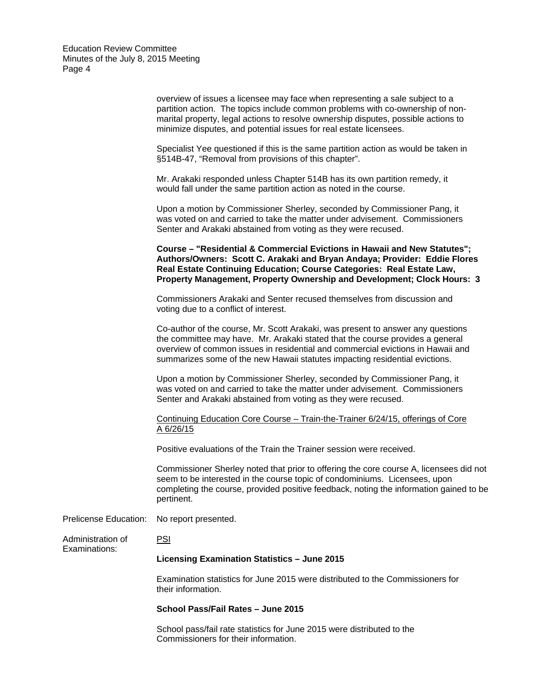> overview of issues a licensee may face when representing a sale subject to a partition action. The topics include common problems with co-ownership of nonmarital property, legal actions to resolve ownership disputes, possible actions to minimize disputes, and potential issues for real estate licensees.

> Specialist Yee questioned if this is the same partition action as would be taken in §514B-47, "Removal from provisions of this chapter".

Mr. Arakaki responded unless Chapter 514B has its own partition remedy, it would fall under the same partition action as noted in the course.

Upon a motion by Commissioner Sherley, seconded by Commissioner Pang, it was voted on and carried to take the matter under advisement. Commissioners Senter and Arakaki abstained from voting as they were recused.

**Course – "Residential & Commercial Evictions in Hawaii and New Statutes"; Authors/Owners: Scott C. Arakaki and Bryan Andaya; Provider: Eddie Flores Real Estate Continuing Education; Course Categories: Real Estate Law, Property Management, Property Ownership and Development; Clock Hours: 3** 

Commissioners Arakaki and Senter recused themselves from discussion and voting due to a conflict of interest.

Co-author of the course, Mr. Scott Arakaki, was present to answer any questions the committee may have. Mr. Arakaki stated that the course provides a general overview of common issues in residential and commercial evictions in Hawaii and summarizes some of the new Hawaii statutes impacting residential evictions.

Upon a motion by Commissioner Sherley, seconded by Commissioner Pang, it was voted on and carried to take the matter under advisement. Commissioners Senter and Arakaki abstained from voting as they were recused.

Continuing Education Core Course – Train-the-Trainer 6/24/15, offerings of Core A 6/26/15

Positive evaluations of the Train the Trainer session were received.

Commissioner Sherley noted that prior to offering the core course A, licensees did not seem to be interested in the course topic of condominiums. Licensees, upon completing the course, provided positive feedback, noting the information gained to be pertinent.

Prelicense Education: No report presented.

Administration of PSI

Examinations:

## **Licensing Examination Statistics – June 2015**

Examination statistics for June 2015 were distributed to the Commissioners for their information.

## **School Pass/Fail Rates – June 2015**

School pass/fail rate statistics for June 2015 were distributed to the Commissioners for their information.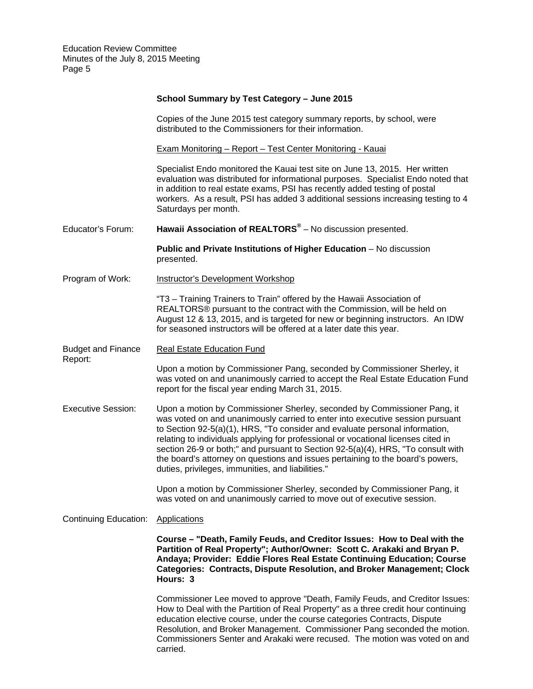|                                      | School Summary by Test Category - June 2015                                                                                                                                                                                                                                                                                                                                                                                                                                                                                                              |
|--------------------------------------|----------------------------------------------------------------------------------------------------------------------------------------------------------------------------------------------------------------------------------------------------------------------------------------------------------------------------------------------------------------------------------------------------------------------------------------------------------------------------------------------------------------------------------------------------------|
|                                      | Copies of the June 2015 test category summary reports, by school, were<br>distributed to the Commissioners for their information.                                                                                                                                                                                                                                                                                                                                                                                                                        |
|                                      | <b>Exam Monitoring - Report - Test Center Monitoring - Kauai</b>                                                                                                                                                                                                                                                                                                                                                                                                                                                                                         |
|                                      | Specialist Endo monitored the Kauai test site on June 13, 2015. Her written<br>evaluation was distributed for informational purposes. Specialist Endo noted that<br>in addition to real estate exams, PSI has recently added testing of postal<br>workers. As a result, PSI has added 3 additional sessions increasing testing to 4<br>Saturdays per month.                                                                                                                                                                                              |
| Educator's Forum:                    | Hawaii Association of REALTORS <sup>®</sup> - No discussion presented.                                                                                                                                                                                                                                                                                                                                                                                                                                                                                   |
|                                      | Public and Private Institutions of Higher Education - No discussion<br>presented.                                                                                                                                                                                                                                                                                                                                                                                                                                                                        |
| Program of Work:                     | <b>Instructor's Development Workshop</b>                                                                                                                                                                                                                                                                                                                                                                                                                                                                                                                 |
|                                      | "T3 - Training Trainers to Train" offered by the Hawaii Association of<br>REALTORS® pursuant to the contract with the Commission, will be held on<br>August 12 & 13, 2015, and is targeted for new or beginning instructors. An IDW<br>for seasoned instructors will be offered at a later date this year.                                                                                                                                                                                                                                               |
| <b>Budget and Finance</b><br>Report: | <b>Real Estate Education Fund</b>                                                                                                                                                                                                                                                                                                                                                                                                                                                                                                                        |
|                                      | Upon a motion by Commissioner Pang, seconded by Commissioner Sherley, it<br>was voted on and unanimously carried to accept the Real Estate Education Fund<br>report for the fiscal year ending March 31, 2015.                                                                                                                                                                                                                                                                                                                                           |
| <b>Executive Session:</b>            | Upon a motion by Commissioner Sherley, seconded by Commissioner Pang, it<br>was voted on and unanimously carried to enter into executive session pursuant<br>to Section 92-5(a)(1), HRS, "To consider and evaluate personal information,<br>relating to individuals applying for professional or vocational licenses cited in<br>section 26-9 or both;" and pursuant to Section 92-5(a)(4), HRS, "To consult with<br>the board's attorney on questions and issues pertaining to the board's powers,<br>duties, privileges, immunities, and liabilities." |
|                                      | Upon a motion by Commissioner Sherley, seconded by Commissioner Pang, it<br>was voted on and unanimously carried to move out of executive session.                                                                                                                                                                                                                                                                                                                                                                                                       |
| <b>Continuing Education:</b>         | <b>Applications</b>                                                                                                                                                                                                                                                                                                                                                                                                                                                                                                                                      |
|                                      | Course – "Death, Family Feuds, and Creditor Issues: How to Deal with the<br>Partition of Real Property"; Author/Owner: Scott C. Arakaki and Bryan P.<br>Andaya; Provider: Eddie Flores Real Estate Continuing Education; Course<br><b>Categories: Contracts, Dispute Resolution, and Broker Management; Clock</b><br>Hours: 3                                                                                                                                                                                                                            |
|                                      | Commissioner Lee moved to approve "Death, Family Feuds, and Creditor Issues:<br>How to Deal with the Partition of Real Property" as a three credit hour continuing<br>education elective course, under the course categories Contracts, Dispute<br>Resolution, and Broker Management. Commissioner Pang seconded the motion.<br>Commissioners Senter and Arakaki were recused. The motion was voted on and<br>carried.                                                                                                                                   |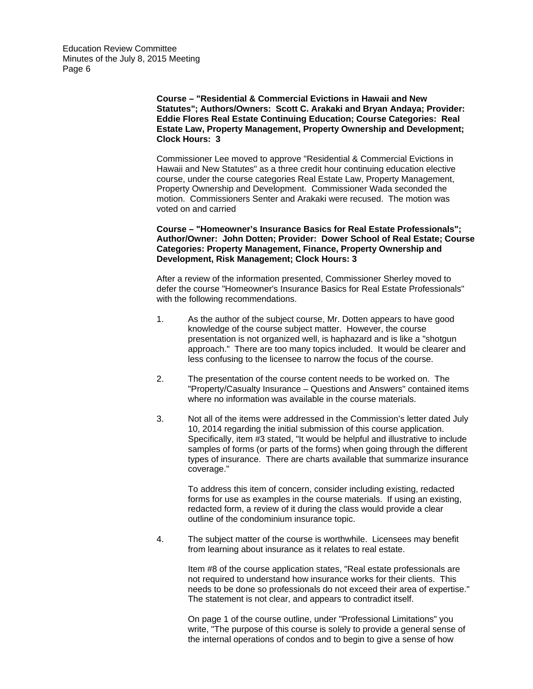> **Course – "Residential & Commercial Evictions in Hawaii and New Statutes"; Authors/Owners: Scott C. Arakaki and Bryan Andaya; Provider: Eddie Flores Real Estate Continuing Education; Course Categories: Real Estate Law, Property Management, Property Ownership and Development; Clock Hours: 3**

Commissioner Lee moved to approve "Residential & Commercial Evictions in Hawaii and New Statutes" as a three credit hour continuing education elective course, under the course categories Real Estate Law, Property Management, Property Ownership and Development. Commissioner Wada seconded the motion. Commissioners Senter and Arakaki were recused. The motion was voted on and carried

**Course – "Homeowner's Insurance Basics for Real Estate Professionals"; Author/Owner: John Dotten; Provider: Dower School of Real Estate; Course Categories: Property Management, Finance, Property Ownership and Development, Risk Management; Clock Hours: 3** 

After a review of the information presented, Commissioner Sherley moved to defer the course "Homeowner's Insurance Basics for Real Estate Professionals" with the following recommendations.

- 1. As the author of the subject course, Mr. Dotten appears to have good knowledge of the course subject matter. However, the course presentation is not organized well, is haphazard and is like a "shotgun approach." There are too many topics included. It would be clearer and less confusing to the licensee to narrow the focus of the course.
- 2. The presentation of the course content needs to be worked on. The "Property/Casualty Insurance – Questions and Answers" contained items where no information was available in the course materials.
- 10, 2014 regarding the initial submission of this course application. 3. Not all of the items were addressed in the Commission's letter dated July Specifically, item #3 stated, "It would be helpful and illustrative to include samples of forms (or parts of the forms) when going through the different types of insurance. There are charts available that summarize insurance coverage."

To address this item of concern, consider including existing, redacted forms for use as examples in the course materials. If using an existing, redacted form, a review of it during the class would provide a clear outline of the condominium insurance topic.

4. The subject matter of the course is worthwhile. Licensees may benefit from learning about insurance as it relates to real estate.

> Item #8 of the course application states, "Real estate professionals are not required to understand how insurance works for their clients. This needs to be done so professionals do not exceed their area of expertise." The statement is not clear, and appears to contradict itself.

> On page 1 of the course outline, under "Professional Limitations" you write, "The purpose of this course is solely to provide a general sense of the internal operations of condos and to begin to give a sense of how